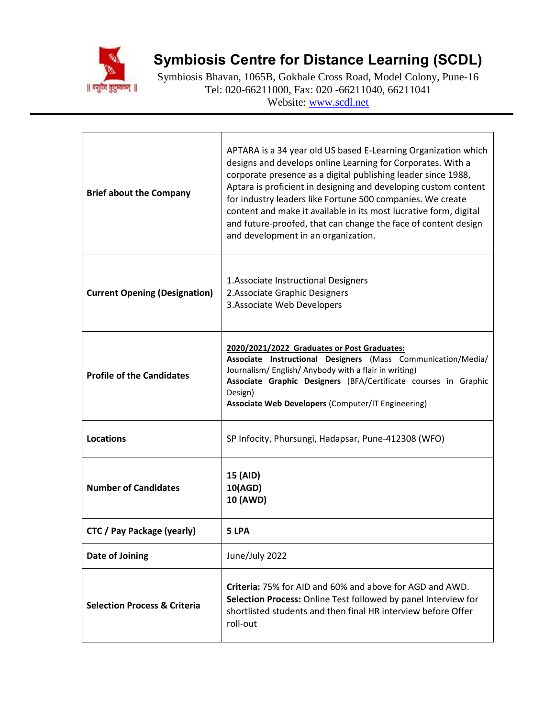

## **Symbiosis Centre for Distance Learning (SCDL)**

Symbiosis Bhavan, 1065B, Gokhale Cross Road, Model Colony, Pune-16 Tel: 020-66211000, Fax: 020 -66211040, 66211041 Website: [www.scdl.net](http://www.scdl.net/)

| <b>Brief about the Company</b>          | APTARA is a 34 year old US based E-Learning Organization which<br>designs and develops online Learning for Corporates. With a<br>corporate presence as a digital publishing leader since 1988,<br>Aptara is proficient in designing and developing custom content<br>for industry leaders like Fortune 500 companies. We create<br>content and make it available in its most lucrative form, digital<br>and future-proofed, that can change the face of content design<br>and development in an organization. |
|-----------------------------------------|---------------------------------------------------------------------------------------------------------------------------------------------------------------------------------------------------------------------------------------------------------------------------------------------------------------------------------------------------------------------------------------------------------------------------------------------------------------------------------------------------------------|
| <b>Current Opening (Designation)</b>    | 1. Associate Instructional Designers<br>2. Associate Graphic Designers<br>3. Associate Web Developers                                                                                                                                                                                                                                                                                                                                                                                                         |
| <b>Profile of the Candidates</b>        | 2020/2021/2022 Graduates or Post Graduates:<br>Associate Instructional Designers (Mass Communication/Media/<br>Journalism/English/Anybody with a flair in writing)<br>Associate Graphic Designers (BFA/Certificate courses in Graphic<br>Design)<br>Associate Web Developers (Computer/IT Engineering)                                                                                                                                                                                                        |
| <b>Locations</b>                        | SP Infocity, Phursungi, Hadapsar, Pune-412308 (WFO)                                                                                                                                                                                                                                                                                                                                                                                                                                                           |
| <b>Number of Candidates</b>             | 15 (AID)<br>10(AGD)<br><b>10 (AWD)</b>                                                                                                                                                                                                                                                                                                                                                                                                                                                                        |
| CTC / Pay Package (yearly)              | 5 LPA                                                                                                                                                                                                                                                                                                                                                                                                                                                                                                         |
| Date of Joining                         | June/July 2022                                                                                                                                                                                                                                                                                                                                                                                                                                                                                                |
| <b>Selection Process &amp; Criteria</b> | <b>Criteria:</b> 75% for AID and 60% and above for AGD and AWD.<br>Selection Process: Online Test followed by panel Interview for<br>shortlisted students and then final HR interview before Offer<br>roll-out                                                                                                                                                                                                                                                                                                |